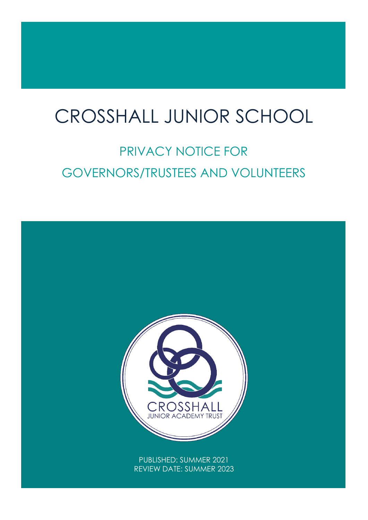## $\overline{1}$ CROSSHALL JUNIOR SCHOOL

# PRIVACY NOTICE FOR GOVERNORS/TRUSTEES AND VOLUNTEERS

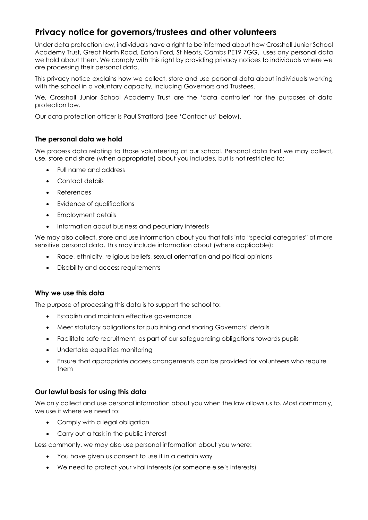### **Privacy notice for governors/trustees and other volunteers**

Under data protection law, individuals have a right to be informed about how Crosshall Junior School Academy Trust, Great North Road, Eaton Ford, St Neots, Cambs PE19 7GG, uses any personal data we hold about them. We comply with this right by providing privacy notices to individuals where we are processing their personal data.

This privacy notice explains how we collect, store and use personal data about individuals working with the school in a voluntary capacity, including Governors and Trustees.

We, Crosshall Junior School Academy Trust are the 'data controller' for the purposes of data protection law.

Our data protection officer is Paul Stratford (see 'Contact us' below).

#### **The personal data we hold**

We process data relating to those volunteering at our school. Personal data that we may collect, use, store and share (when appropriate) about you includes, but is not restricted to:

- Full name and address
- Contact details
- References
- Evidence of qualifications
- Employment details
- Information about business and pecuniary interests

We may also collect, store and use information about you that falls into "special categories" of more sensitive personal data. This may include information about (where applicable):

- Race, ethnicity, religious beliefs, sexual orientation and political opinions
- Disability and access requirements

#### **Why we use this data**

The purpose of processing this data is to support the school to:

- Establish and maintain effective governance
- Meet statutory obligations for publishing and sharing Governors' details
- Facilitate safe recruitment, as part of our safeguarding obligations towards pupils
- Undertake equalities monitoring
- Ensure that appropriate access arrangements can be provided for volunteers who require them

#### **Our lawful basis for using this data**

We only collect and use personal information about you when the law allows us to. Most commonly, we use it where we need to:

- Comply with a legal obligation
- Carry out a task in the public interest

Less commonly, we may also use personal information about you where:

- You have given us consent to use it in a certain way
- We need to protect your vital interests (or someone else's interests)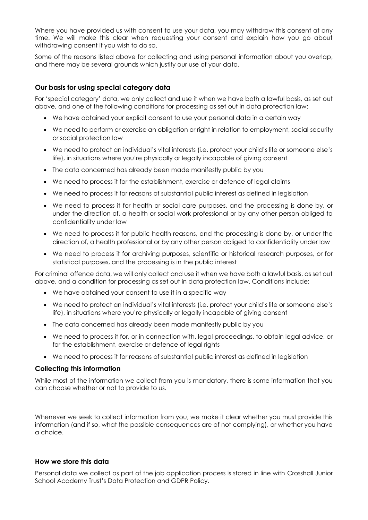Where you have provided us with consent to use your data, you may withdraw this consent at any time. We will make this clear when requesting your consent and explain how you go about withdrawing consent if you wish to do so.

Some of the reasons listed above for collecting and using personal information about you overlap, and there may be several grounds which justify our use of your data.

#### **Our basis for using special category data**

For 'special category' data, we only collect and use it when we have both a lawful basis, as set out above, and one of the following conditions for processing as set out in data protection law:

- We have obtained your explicit consent to use your personal data in a certain way
- We need to perform or exercise an obligation or right in relation to employment, social security or social protection law
- We need to protect an individual's vital interests (i.e. protect your child's life or someone else's life), in situations where you're physically or legally incapable of giving consent
- The data concerned has already been made manifestly public by you
- We need to process it for the establishment, exercise or defence of legal claims
- We need to process it for reasons of substantial public interest as defined in legislation
- We need to process it for health or social care purposes, and the processing is done by, or under the direction of, a health or social work professional or by any other person obliged to confidentiality under law
- We need to process it for public health reasons, and the processing is done by, or under the direction of, a health professional or by any other person obliged to confidentiality under law
- We need to process it for archiving purposes, scientific or historical research purposes, or for statistical purposes, and the processing is in the public interest

For criminal offence data, we will only collect and use it when we have both a lawful basis, as set out above, and a condition for processing as set out in data protection law. Conditions include:

- We have obtained your consent to use it in a specific way
- We need to protect an individual's vital interests (i.e. protect your child's life or someone else's life), in situations where you're physically or legally incapable of giving consent
- The data concerned has already been made manifestly public by you
- We need to process it for, or in connection with, legal proceedings, to obtain legal advice, or for the establishment, exercise or defence of legal rights
- We need to process it for reasons of substantial public interest as defined in legislation

#### **Collecting this information**

While most of the information we collect from you is mandatory, there is some information that you can choose whether or not to provide to us.

Whenever we seek to collect information from you, we make it clear whether you must provide this information (and if so, what the possible consequences are of not complying), or whether you have a choice.

#### **How we store this data**

Personal data we collect as part of the job application process is stored in line with Crosshall Junior School Academy Trust's Data Protection and GDPR Policy.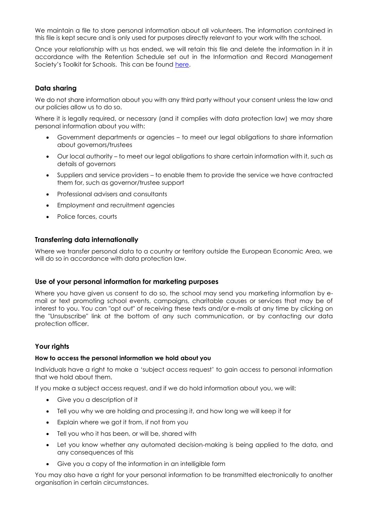We maintain a file to store personal information about all volunteers. The information contained in this file is kept secure and is only used for purposes directly relevant to your work with the school.

Once your relationship with us has ended, we will retain this file and delete the information in it in accordance with the Retention Schedule set out in the Information and Record Management Society's Toolkit for Schools. This can be found [here.](http://irms.org.uk/?page=schoolstoolkit&terms=%22toolkit+and+schools%22)

#### **Data sharing**

We do not share information about you with any third party without your consent unless the law and our policies allow us to do so.

Where it is legally required, or necessary (and it complies with data protection law) we may share personal information about you with:

- Government departments or agencies to meet our legal obligations to share information about governors/trustees
- Our local authority to meet our legal obligations to share certain information with it, such as details of governors
- Suppliers and service providers to enable them to provide the service we have contracted them for, such as governor/trustee support
- Professional advisers and consultants
- Employment and recruitment agencies
- Police forces, courts

#### **Transferring data internationally**

Where we transfer personal data to a country or territory outside the European Economic Area, we will do so in accordance with data protection law.

#### **Use of your personal information for marketing purposes**

Where you have given us consent to do so, the school may send you marketing information by email or text promoting school events, campaigns, charitable causes or services that may be of interest to you. You can "opt out" of receiving these texts and/or e-mails at any time by clicking on the "Unsubscribe" link at the bottom of any such communication, or by contacting our data protection officer.

#### **Your rights**

#### **How to access the personal information we hold about you**

Individuals have a right to make a 'subject access request' to gain access to personal information that we hold about them.

If you make a subject access request, and if we do hold information about you, we will:

- Give you a description of it
- Tell you why we are holding and processing it, and how long we will keep it for
- Explain where we got it from, if not from you
- Tell you who it has been, or will be, shared with
- Let you know whether any automated decision-making is being applied to the data, and any consequences of this
- Give you a copy of the information in an intelligible form

You may also have a right for your personal information to be transmitted electronically to another organisation in certain circumstances.